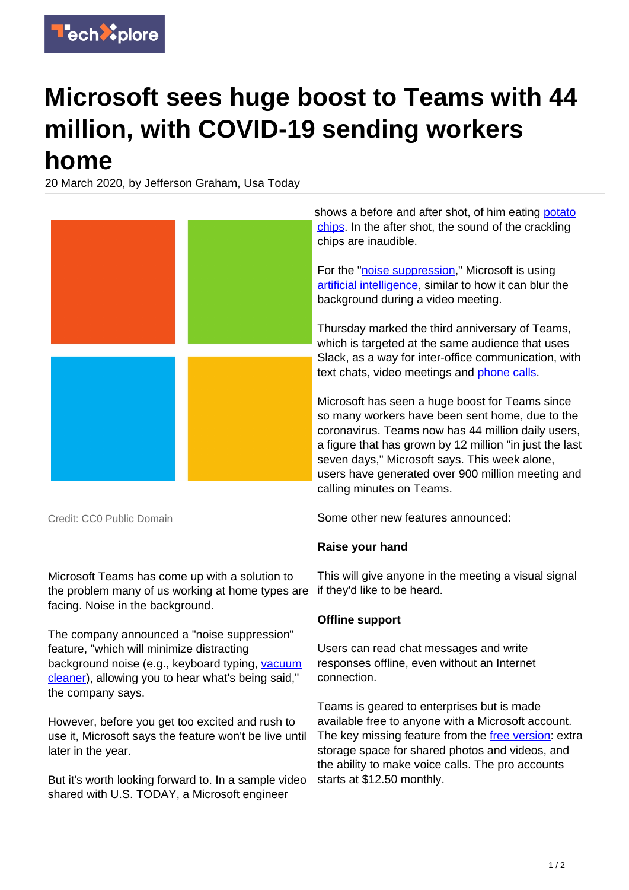

## **Microsoft sees huge boost to Teams with 44 million, with COVID-19 sending workers home**

20 March 2020, by Jefferson Graham, Usa Today



Credit: CC0 Public Domain

Microsoft Teams has come up with a solution to the problem many of us working at home types are facing. Noise in the background.

The company announced a "noise suppression" feature, "which will minimize distracting background noise (e.g., keyboard typing, [vacuum](https://techxplore.com/tags/vacuum+cleaner/) [cleaner](https://techxplore.com/tags/vacuum+cleaner/)), allowing you to hear what's being said," the company says.

However, before you get too excited and rush to use it, Microsoft says the feature won't be live until later in the year.

But it's worth looking forward to. In a sample video shared with U.S. TODAY, a Microsoft engineer

Some other new features announced:

## **Raise your hand**

This will give anyone in the meeting a visual signal if they'd like to be heard.

## **Offline support**

Users can read chat messages and write responses offline, even without an Internet connection.

Teams is geared to enterprises but is made available free to anyone with a Microsoft account. The key missing feature from the [free version](https://techxplore.com/tags/free+version/): extra storage space for shared photos and videos, and the ability to make voice calls. The pro accounts starts at \$12.50 monthly.